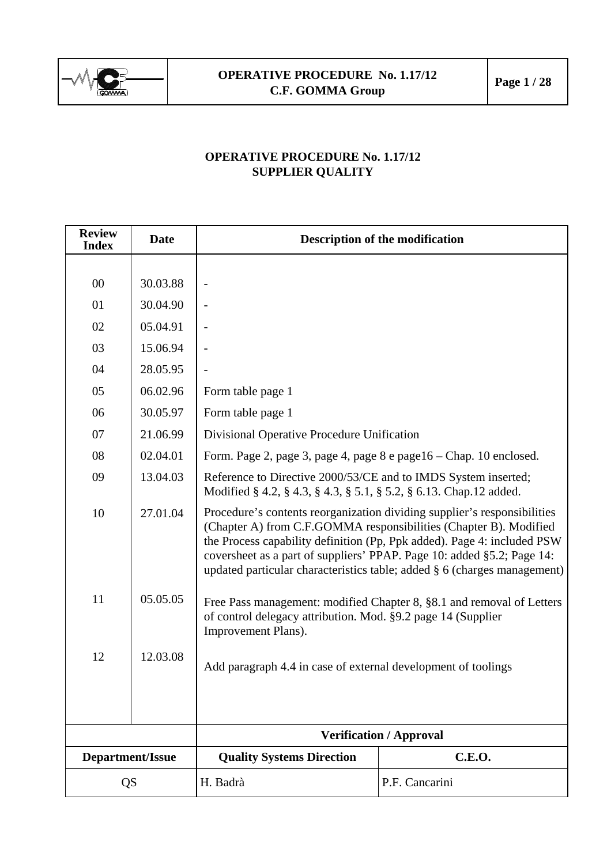

## **OPERATIVE PROCEDURE No. 1.17/12 SUPPLIER QUALITY**

| <b>Review</b><br><b>Index</b> | <b>Date</b> | <b>Description of the modification</b>                                                                                                                                                                                                                                                                                                                                         |                |  |  |  |
|-------------------------------|-------------|--------------------------------------------------------------------------------------------------------------------------------------------------------------------------------------------------------------------------------------------------------------------------------------------------------------------------------------------------------------------------------|----------------|--|--|--|
|                               |             |                                                                                                                                                                                                                                                                                                                                                                                |                |  |  |  |
| $00\,$                        | 30.03.88    |                                                                                                                                                                                                                                                                                                                                                                                |                |  |  |  |
| 01                            | 30.04.90    |                                                                                                                                                                                                                                                                                                                                                                                |                |  |  |  |
| 02                            | 05.04.91    |                                                                                                                                                                                                                                                                                                                                                                                |                |  |  |  |
| 03                            | 15.06.94    |                                                                                                                                                                                                                                                                                                                                                                                |                |  |  |  |
| 04                            | 28.05.95    |                                                                                                                                                                                                                                                                                                                                                                                |                |  |  |  |
| 05                            | 06.02.96    | Form table page 1                                                                                                                                                                                                                                                                                                                                                              |                |  |  |  |
| 06                            | 30.05.97    | Form table page 1                                                                                                                                                                                                                                                                                                                                                              |                |  |  |  |
| 07                            | 21.06.99    | Divisional Operative Procedure Unification                                                                                                                                                                                                                                                                                                                                     |                |  |  |  |
| 08                            | 02.04.01    | Form. Page 2, page 3, page 4, page 8 e page 16 – Chap. 10 enclosed.                                                                                                                                                                                                                                                                                                            |                |  |  |  |
| 09                            | 13.04.03    | Reference to Directive 2000/53/CE and to IMDS System inserted;<br>Modified § 4.2, § 4.3, § 4.3, § 5.1, § 5.2, § 6.13. Chap.12 added.                                                                                                                                                                                                                                           |                |  |  |  |
| 10                            | 27.01.04    | Procedure's contents reorganization dividing supplier's responsibilities<br>(Chapter A) from C.F.GOMMA responsibilities (Chapter B). Modified<br>the Process capability definition (Pp, Ppk added). Page 4: included PSW<br>coversheet as a part of suppliers' PPAP. Page 10: added §5.2; Page 14:<br>updated particular characteristics table; added § 6 (charges management) |                |  |  |  |
| 11                            | 05.05.05    | Free Pass management: modified Chapter 8, §8.1 and removal of Letters<br>of control delegacy attribution. Mod. §9.2 page 14 (Supplier<br>Improvement Plans).                                                                                                                                                                                                                   |                |  |  |  |
| 12                            | 12.03.08    | Add paragraph 4.4 in case of external development of toolings                                                                                                                                                                                                                                                                                                                  |                |  |  |  |
|                               |             | <b>Verification / Approval</b>                                                                                                                                                                                                                                                                                                                                                 |                |  |  |  |
| Department/Issue              |             | <b>Quality Systems Direction</b>                                                                                                                                                                                                                                                                                                                                               | C.E.O.         |  |  |  |
| <b>QS</b>                     |             | H. Badrà                                                                                                                                                                                                                                                                                                                                                                       | P.F. Cancarini |  |  |  |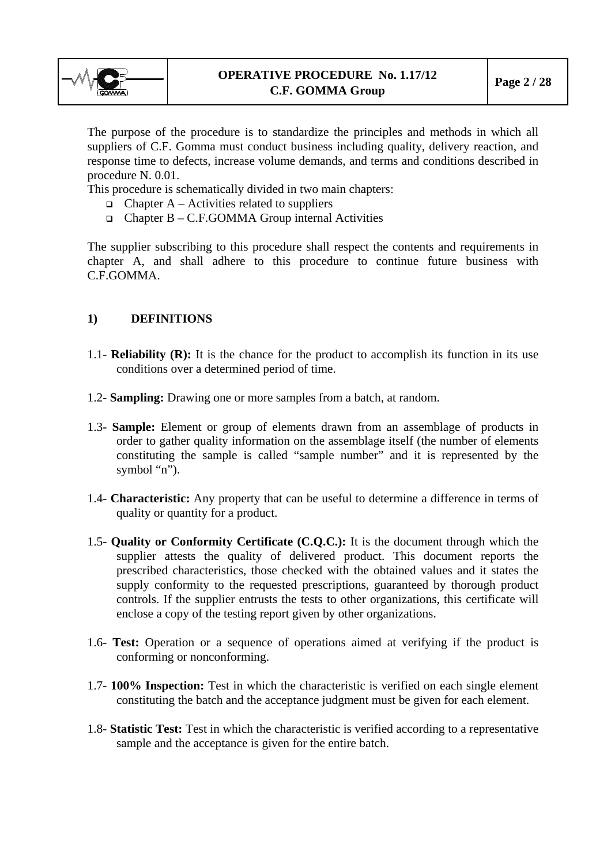<span id="page-1-0"></span>

The purpose of the procedure is to standardize the principles and methods in which all suppliers of C.F. Gomma must conduct business including quality, delivery reaction, and response time to defects, increase volume demands, and terms and conditions described in procedure N. 0.01.

This procedure is schematically divided in two main chapters:

- $\Box$  Chapter A Activities related to suppliers
- $\Box$  Chapter B C.F.GOMMA Group internal Activities

The supplier subscribing to this procedure shall respect the contents and requirements in chapter A, and shall adhere to this procedure to continue future business with C.F.GOMMA.

## **1) DEFINITIONS**

- 1.1- **Reliability (R):** It is the chance for the product to accomplish its function in its use conditions over a determined period of time.
- 1.2- **Sampling:** Drawing one or more samples from a batch, at random.
- 1.3- **Sample:** Element or group of elements drawn from an assemblage of products in order to gather quality information on the assemblage itself (the number of elements constituting the sample is called "sample number" and it is represented by the symbol "n").
- 1.4- **Characteristic:** Any property that can be useful to determine a difference in terms of quality or quantity for a product.
- 1.5- **Quality or Conformity Certificate (C.Q.C.):** It is the document through which the supplier attests the quality of delivered product. This document reports the prescribed characteristics, those checked with the obtained values and it states the supply conformity to the requested prescriptions, guaranteed by thorough product controls. If the supplier entrusts the tests to other organizations, this certificate will enclose a copy of the testing report given by other organizations.
- 1.6- **Test:** Operation or a sequence of operations aimed at verifying if the product is conforming or nonconforming.
- 1.7- **100% Inspection:** Test in which the characteristic is verified on each single element constituting the batch and the acceptance judgment must be given for each element.
- 1.8- **Statistic Test:** Test in which the characteristic is verified according to a representative sample and the acceptance is given for the entire batch.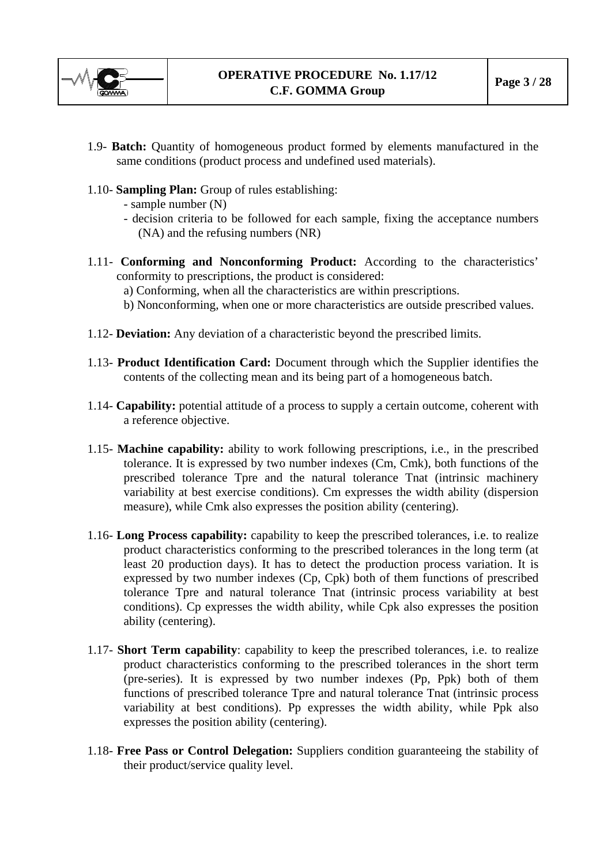

- 1.9- **Batch:** Quantity of homogeneous product formed by elements manufactured in the same conditions (product process and undefined used materials).
- 1.10- **Sampling Plan:** Group of rules establishing:
	- sample number (N)
	- decision criteria to be followed for each sample, fixing the acceptance numbers (NA) and the refusing numbers (NR)
- 1.11- **Conforming and Nonconforming Product:** According to the characteristics' conformity to prescriptions, the product is considered:
	- a) Conforming, when all the characteristics are within prescriptions.
	- b) Nonconforming, when one or more characteristics are outside prescribed values.
- 1.12- **Deviation:** Any deviation of a characteristic beyond the prescribed limits.
- 1.13- **Product Identification Card:** Document through which the Supplier identifies the contents of the collecting mean and its being part of a homogeneous batch.
- 1.14- **Capability:** potential attitude of a process to supply a certain outcome, coherent with a reference objective.
- 1.15- **Machine capability:** ability to work following prescriptions, i.e., in the prescribed tolerance. It is expressed by two number indexes (Cm, Cmk), both functions of the prescribed tolerance Tpre and the natural tolerance Tnat (intrinsic machinery variability at best exercise conditions). Cm expresses the width ability (dispersion measure), while Cmk also expresses the position ability (centering).
- 1.16- **Long Process capability:** capability to keep the prescribed tolerances, i.e. to realize product characteristics conforming to the prescribed tolerances in the long term (at least 20 production days). It has to detect the production process variation. It is expressed by two number indexes (Cp, Cpk) both of them functions of prescribed tolerance Tpre and natural tolerance Tnat (intrinsic process variability at best conditions). Cp expresses the width ability, while Cpk also expresses the position ability (centering).
- 1.17- **Short Term capability**: capability to keep the prescribed tolerances, i.e. to realize product characteristics conforming to the prescribed tolerances in the short term (pre-series). It is expressed by two number indexes (Pp, Ppk) both of them functions of prescribed tolerance Tpre and natural tolerance Tnat (intrinsic process variability at best conditions). Pp expresses the width ability, while Ppk also expresses the position ability (centering).
- 1.18- **Free Pass or Control Delegation:** Suppliers condition guaranteeing the stability of their product/service quality level.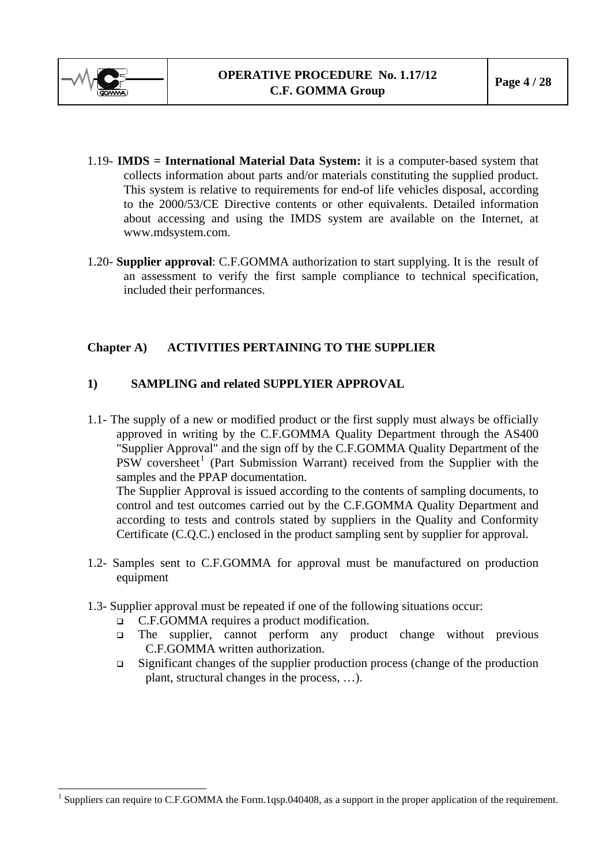<span id="page-3-1"></span>

- 1.19- **IMDS = International Material Data System:** it is a computer-based system that collects information about parts and/or materials constituting the supplied product. This system is relative to requirements for end-of life vehicles disposal, according to the 2000/53/CE Directive contents or other equivalents. Detailed information about accessing and using the IMDS system are available on the Internet, at www.mdsystem.com.
- 1.20- **Supplier approval**: C.F.GOMMA authorization to start supplying. It is the result of an assessment to verify the first sample compliance to technical specification, included their performances.

## **Chapter A) ACTIVITIES PERTAINING TO THE SUPPLIER**

## **1) SAMPLING and related SUPPLYIER APPROVAL**

1.1- The supply of a new or modified product or the first supply must always be officially approved in writing by the C.F.GOMMA Quality Department through the AS400 "Supplier Approval" and the sign off by the C.F.GOMMA Quality Department of the  $PSW$  coversheet<sup>[1](#page-3-0)</sup> (Part Submission Warrant) received from the Supplier with the samples and the PPAP documentation.

The Supplier Approval is issued according to the contents of sampling documents, to control and test outcomes carried out by the C.F.GOMMA Quality Department and according to tests and controls stated by suppliers in the Quality and Conformity Certificate (C.Q.C.) enclosed in the product sampling sent by supplier for approval.

- 1.2- Samples sent to C.F.GOMMA for approval must be manufactured on production equipment
- 1.3- Supplier approval must be repeated if one of the following situations occur:
	- C.F.GOMMA requires a product modification.
	- The supplier, cannot perform any product change without previous C.F.GOMMA written authorization.
	- Significant changes of the supplier production process (change of the production plant, structural changes in the process, …).

<span id="page-3-0"></span><sup>&</sup>lt;sup>1</sup> Suppliers can require to C.F.GOMMA the Form.1qsp.040408, as a support in the proper application of the requirement.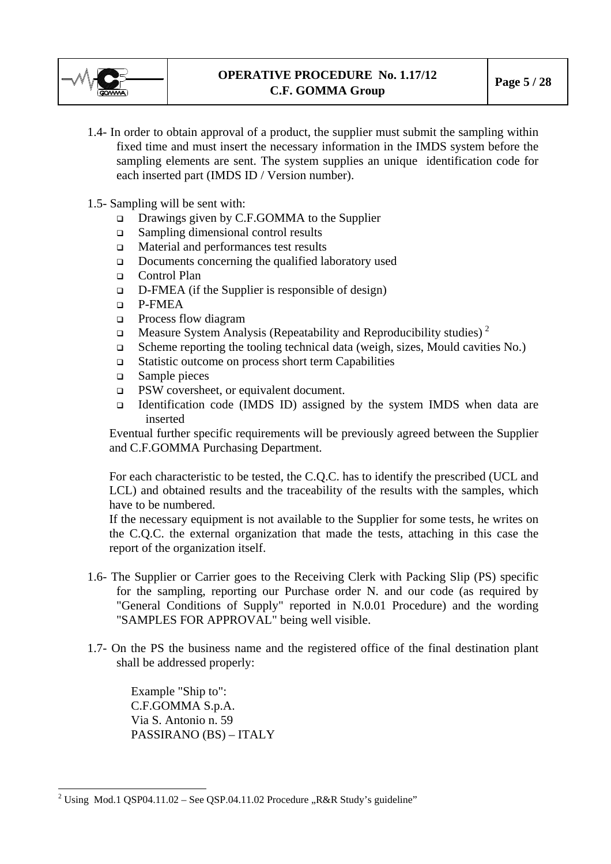

- 1.4- In order to obtain approval of a product, the supplier must submit the sampling within fixed time and must insert the necessary information in the IMDS system before the sampling elements are sent. The system supplies an unique identification code for each inserted part (IMDS ID / Version number).
- 1.5- Sampling will be sent with:
	- Drawings given by C.F.GOMMA to the Supplier
	- Sampling dimensional control results
	- □ Material and performances test results
	- Documents concerning the qualified laboratory used
	- □ Control Plan
	- $\Box$  D-FMEA (if the Supplier is responsible of design)
	- P-FMEA
	- Process flow diagram
	- **Measure System Analysis (Repeatability and Reproducibility studies)** <sup>[2](#page-4-0)</sup>
	- $\Box$  Scheme reporting the tooling technical data (weigh, sizes, Mould cavities No.)
	- Statistic outcome on process short term Capabilities
	- Sample pieces
	- PSW coversheet, or equivalent document.
	- Identification code (IMDS ID) assigned by the system IMDS when data are inserted

Eventual further specific requirements will be previously agreed between the Supplier and C.F.GOMMA Purchasing Department.

For each characteristic to be tested, the C.Q.C. has to identify the prescribed (UCL and LCL) and obtained results and the traceability of the results with the samples, which have to be numbered.

If the necessary equipment is not available to the Supplier for some tests, he writes on the C.Q.C. the external organization that made the tests, attaching in this case the report of the organization itself.

- 1.6- The Supplier or Carrier goes to the Receiving Clerk with Packing Slip (PS) specific for the sampling, reporting our Purchase order N. and our code (as required by "General Conditions of Supply" reported in N.0.01 Procedure) and the wording "SAMPLES FOR APPROVAL" being well visible.
- 1.7- On the PS the business name and the registered office of the final destination plant shall be addressed properly:

Example "Ship to": C.F.GOMMA S.p.A. Via S. Antonio n. 59 PASSIRANO (BS) – ITALY

 $\overline{a}$ 

<span id="page-4-0"></span><sup>&</sup>lt;sup>2</sup> Using Mod.1 QSP04.11.02 – See QSP.04.11.02 Procedure "R&R Study's guideline"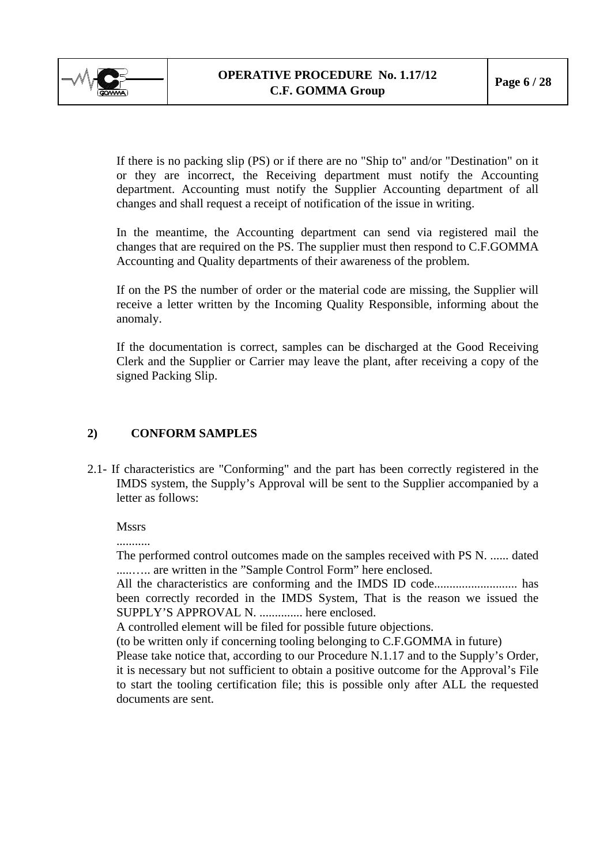<span id="page-5-0"></span>

If there is no packing slip (PS) or if there are no "Ship to" and/or "Destination" on it or they are incorrect, the Receiving department must notify the Accounting department. Accounting must notify the Supplier Accounting department of all changes and shall request a receipt of notification of the issue in writing.

In the meantime, the Accounting department can send via registered mail the changes that are required on the PS. The supplier must then respond to C.F.GOMMA Accounting and Quality departments of their awareness of the problem.

If on the PS the number of order or the material code are missing, the Supplier will receive a letter written by the Incoming Quality Responsible, informing about the anomaly.

If the documentation is correct, samples can be discharged at the Good Receiving Clerk and the Supplier or Carrier may leave the plant, after receiving a copy of the signed Packing Slip.

## **2) CONFORM SAMPLES**

2.1- If characteristics are "Conforming" and the part has been correctly registered in the IMDS system, the Supply's Approval will be sent to the Supplier accompanied by a letter as follows:

**Mssrs** 

...........

The performed control outcomes made on the samples received with PS N. ...... dated .....….. are written in the "Sample Control Form" here enclosed.

All the characteristics are conforming and the IMDS ID code........................... has been correctly recorded in the IMDS System, That is the reason we issued the SUPPLY'S APPROVAL N. .............. here enclosed.

A controlled element will be filed for possible future objections.

(to be written only if concerning tooling belonging to C.F.GOMMA in future)

Please take notice that, according to our Procedure N.1.17 and to the Supply's Order, it is necessary but not sufficient to obtain a positive outcome for the Approval's File to start the tooling certification file; this is possible only after ALL the requested documents are sent.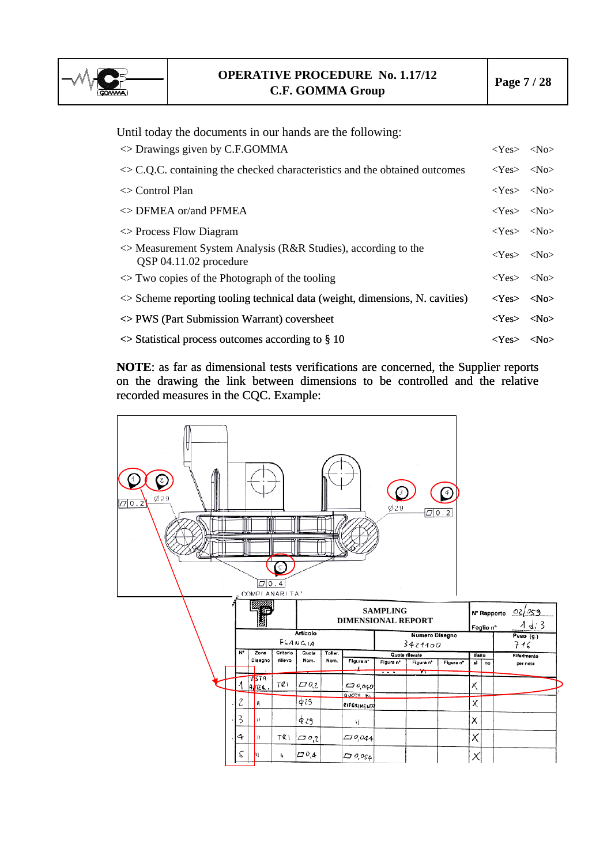

Until today the documents in our hands are the following:

| $\Diamond$ Drawings given by C.F.GOMMA                                                           | $<\text{Yes}> <$ No $>$    |  |
|--------------------------------------------------------------------------------------------------|----------------------------|--|
| $\sim$ C.Q.C. containing the checked characteristics and the obtained outcomes                   | $<\text{Yes}> <\text{No}>$ |  |
| $\Diamond$ Control Plan                                                                          | $<\text{Yes}> <\text{No}>$ |  |
| $\Diamond$ DFMEA or/and PFMEA                                                                    | $<\text{Yes}> <\text{No}>$ |  |
| $\Diamond$ Process Flow Diagram                                                                  | $<\text{Yes}$ $<\text{No}$ |  |
| $\Diamond$ Measurement System Analysis (R&R Studies), according to the<br>QSP 04.11.02 procedure | $<\text{Yes}> <\text{No}>$ |  |
| $\Diamond$ Two copies of the Photograph of the tooling                                           | $<\text{Yes}> <$ No $>$    |  |
| $\le$ Scheme reporting tooling technical data (weight, dimensions, N. cavities)                  | $<\text{Yes}> <\text{No}>$ |  |
| $\Diamond$ PWS (Part Submission Warrant) coversheet                                              | $<\text{Yes}> <\text{No}>$ |  |
| $\sim$ Statistical process outcomes according to § 10                                            | $<\text{Yes}> <$ No $>$    |  |

**NOTE**: as far as dimensional tests verifications are concerned, the Supplier reports on the drawing the link between dimensions to be controlled and the relative recorded measures in the CQC. Example:

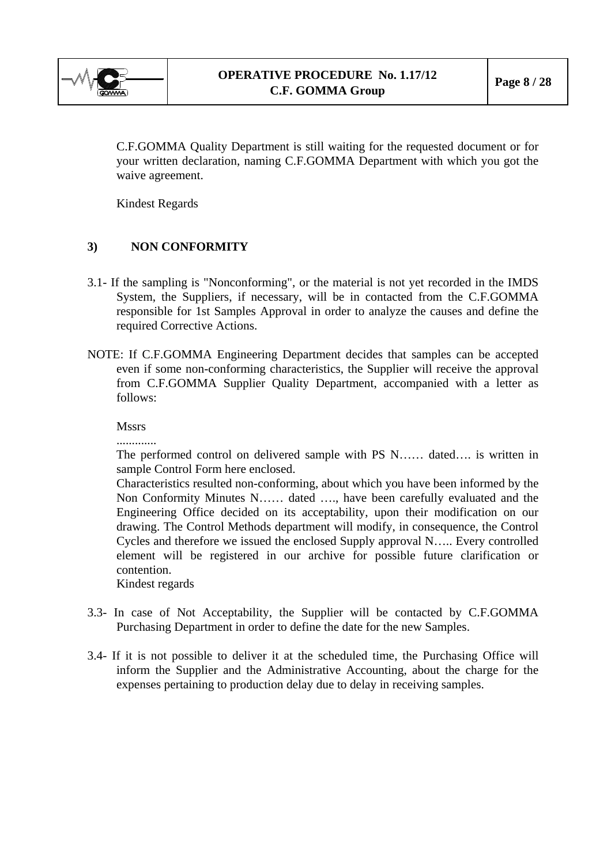<span id="page-7-0"></span>

C.F.GOMMA Quality Department is still waiting for the requested document or for your written declaration, naming C.F.GOMMA Department with which you got the waive agreement.

Kindest Regards

## **3) NON CONFORMITY**

- 3.1- If the sampling is "Nonconforming", or the material is not yet recorded in the IMDS System, the Suppliers, if necessary, will be in contacted from the C.F.GOMMA responsible for 1st Samples Approval in order to analyze the causes and define the required Corrective Actions.
- NOTE: If C.F.GOMMA Engineering Department decides that samples can be accepted even if some non-conforming characteristics, the Supplier will receive the approval from C.F.GOMMA Supplier Quality Department, accompanied with a letter as follows:

**Mssrs** 

.............

The performed control on delivered sample with PS N…… dated…. is written in sample Control Form here enclosed.

Characteristics resulted non-conforming, about which you have been informed by the Non Conformity Minutes N…… dated …., have been carefully evaluated and the Engineering Office decided on its acceptability, upon their modification on our drawing. The Control Methods department will modify, in consequence, the Control Cycles and therefore we issued the enclosed Supply approval N….. Every controlled element will be registered in our archive for possible future clarification or contention.

Kindest regards

- 3.3- In case of Not Acceptability, the Supplier will be contacted by C.F.GOMMA Purchasing Department in order to define the date for the new Samples.
- 3.4- If it is not possible to deliver it at the scheduled time, the Purchasing Office will inform the Supplier and the Administrative Accounting, about the charge for the expenses pertaining to production delay due to delay in receiving samples.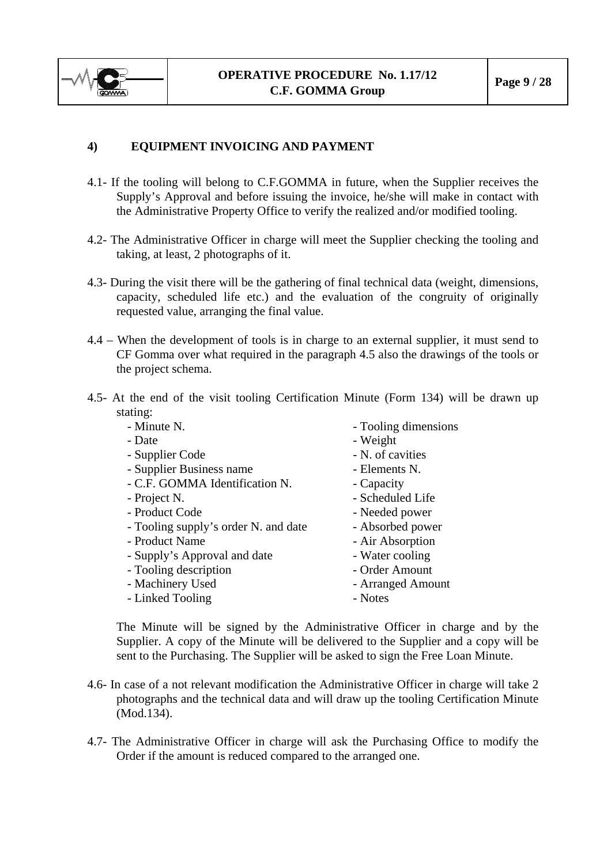<span id="page-8-0"></span>

## **4) EQUIPMENT INVOICING AND PAYMENT**

- 4.1- If the tooling will belong to C.F.GOMMA in future, when the Supplier receives the Supply's Approval and before issuing the invoice, he/she will make in contact with the Administrative Property Office to verify the realized and/or modified tooling.
- 4.2- The Administrative Officer in charge will meet the Supplier checking the tooling and taking, at least, 2 photographs of it.
- 4.3- During the visit there will be the gathering of final technical data (weight, dimensions, capacity, scheduled life etc.) and the evaluation of the congruity of originally requested value, arranging the final value.
- 4.4 When the development of tools is in charge to an external supplier, it must send to CF Gomma over what required in the paragraph 4.5 also the drawings of the tools or the project schema.
- 4.5- At the end of the visit tooling Certification Minute (Form 134) will be drawn up stating:

| - Minute N.                          | - Tooling dimensions |
|--------------------------------------|----------------------|
| - Date                               | - Weight             |
| - Supplier Code                      | - N. of cavities     |
| - Supplier Business name             | - Elements N.        |
| - C.F. GOMMA Identification N.       | - Capacity           |
| - Project N.                         | - Scheduled Life     |
| - Product Code                       | - Needed power       |
| - Tooling supply's order N. and date | - Absorbed power     |
| - Product Name                       | - Air Absorption     |
| - Supply's Approval and date         | - Water cooling      |
| - Tooling description                | - Order Amount       |
| - Machinery Used                     | - Arranged Amount    |
| - Linked Tooling                     | - Notes              |
|                                      |                      |

The Minute will be signed by the Administrative Officer in charge and by the Supplier. A copy of the Minute will be delivered to the Supplier and a copy will be sent to the Purchasing. The Supplier will be asked to sign the Free Loan Minute.

- 4.6- In case of a not relevant modification the Administrative Officer in charge will take 2 photographs and the technical data and will draw up the tooling Certification Minute (Mod.134).
- 4.7- The Administrative Officer in charge will ask the Purchasing Office to modify the Order if the amount is reduced compared to the arranged one.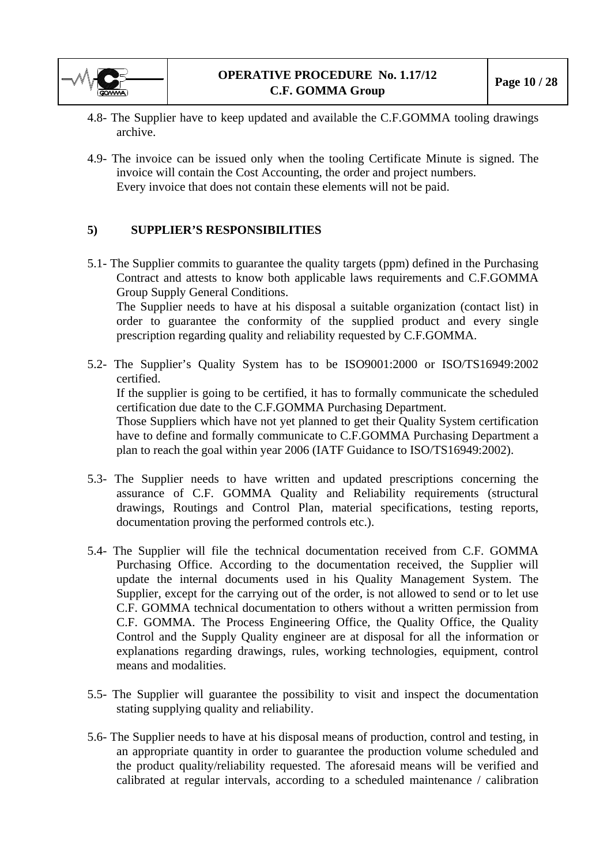<span id="page-9-0"></span>

- 4.8- The Supplier have to keep updated and available the C.F.GOMMA tooling drawings archive.
- 4.9- The invoice can be issued only when the tooling Certificate Minute is signed. The invoice will contain the Cost Accounting, the order and project numbers. Every invoice that does not contain these elements will not be paid.

#### **5) SUPPLIER'S RESPONSIBILITIES**

- 5.1- The Supplier commits to guarantee the quality targets (ppm) defined in the Purchasing Contract and attests to know both applicable laws requirements and C.F.GOMMA Group Supply General Conditions. The Supplier needs to have at his disposal a suitable organization (contact list) in order to guarantee the conformity of the supplied product and every single prescription regarding quality and reliability requested by C.F.GOMMA.
- 5.2- The Supplier's Quality System has to be ISO9001:2000 or ISO/TS16949:2002 certified. If the supplier is going to be certified, it has to formally communicate the scheduled certification due date to the C.F.GOMMA Purchasing Department. Those Suppliers which have not yet planned to get their Quality System certification have to define and formally communicate to C.F.GOMMA Purchasing Department a plan to reach the goal within year 2006 (IATF Guidance to ISO/TS16949:2002).
- 5.3- The Supplier needs to have written and updated prescriptions concerning the assurance of C.F. GOMMA Quality and Reliability requirements (structural drawings, Routings and Control Plan, material specifications, testing reports, documentation proving the performed controls etc.).
- 5.4- The Supplier will file the technical documentation received from C.F. GOMMA Purchasing Office. According to the documentation received, the Supplier will update the internal documents used in his Quality Management System. The Supplier, except for the carrying out of the order, is not allowed to send or to let use C.F. GOMMA technical documentation to others without a written permission from C.F. GOMMA. The Process Engineering Office, the Quality Office, the Quality Control and the Supply Quality engineer are at disposal for all the information or explanations regarding drawings, rules, working technologies, equipment, control means and modalities.
- 5.5- The Supplier will guarantee the possibility to visit and inspect the documentation stating supplying quality and reliability.
- 5.6- The Supplier needs to have at his disposal means of production, control and testing, in an appropriate quantity in order to guarantee the production volume scheduled and the product quality/reliability requested. The aforesaid means will be verified and calibrated at regular intervals, according to a scheduled maintenance / calibration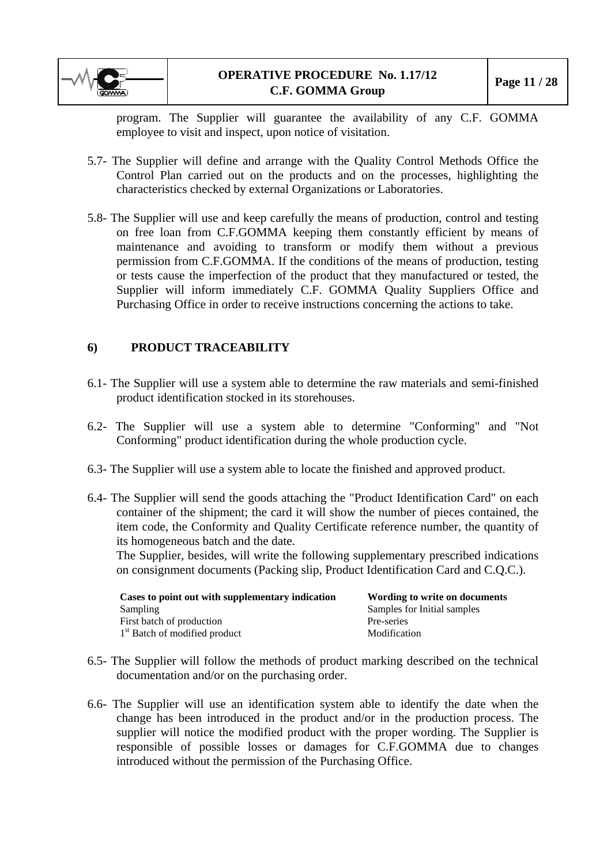<span id="page-10-0"></span>

program. The Supplier will guarantee the availability of any C.F. GOMMA employee to visit and inspect, upon notice of visitation.

- 5.7- The Supplier will define and arrange with the Quality Control Methods Office the Control Plan carried out on the products and on the processes, highlighting the characteristics checked by external Organizations or Laboratories.
- 5.8- The Supplier will use and keep carefully the means of production, control and testing on free loan from C.F.GOMMA keeping them constantly efficient by means of maintenance and avoiding to transform or modify them without a previous permission from C.F.GOMMA. If the conditions of the means of production, testing or tests cause the imperfection of the product that they manufactured or tested, the Supplier will inform immediately C.F. GOMMA Quality Suppliers Office and Purchasing Office in order to receive instructions concerning the actions to take.

## **6) PRODUCT TRACEABILITY**

- 6.1- The Supplier will use a system able to determine the raw materials and semi-finished product identification stocked in its storehouses.
- 6.2- The Supplier will use a system able to determine "Conforming" and "Not Conforming" product identification during the whole production cycle.
- 6.3- The Supplier will use a system able to locate the finished and approved product.
- 6.4- The Supplier will send the goods attaching the "Product Identification Card" on each container of the shipment; the card it will show the number of pieces contained, the item code, the Conformity and Quality Certificate reference number, the quantity of its homogeneous batch and the date.

The Supplier, besides, will write the following supplementary prescribed indications on consignment documents (Packing slip, Product Identification Card and C.Q.C.).

| Cases to point out with supplementary indication | Wording to write on documents |
|--------------------------------------------------|-------------------------------|
| <b>Sampling</b>                                  | Samples for Initial samples   |
| First batch of production                        | Pre-series                    |
| 1 <sup>st</sup> Batch of modified product        | Modification                  |

- 6.5- The Supplier will follow the methods of product marking described on the technical documentation and/or on the purchasing order.
- 6.6- The Supplier will use an identification system able to identify the date when the change has been introduced in the product and/or in the production process. The supplier will notice the modified product with the proper wording. The Supplier is responsible of possible losses or damages for C.F.GOMMA due to changes introduced without the permission of the Purchasing Office.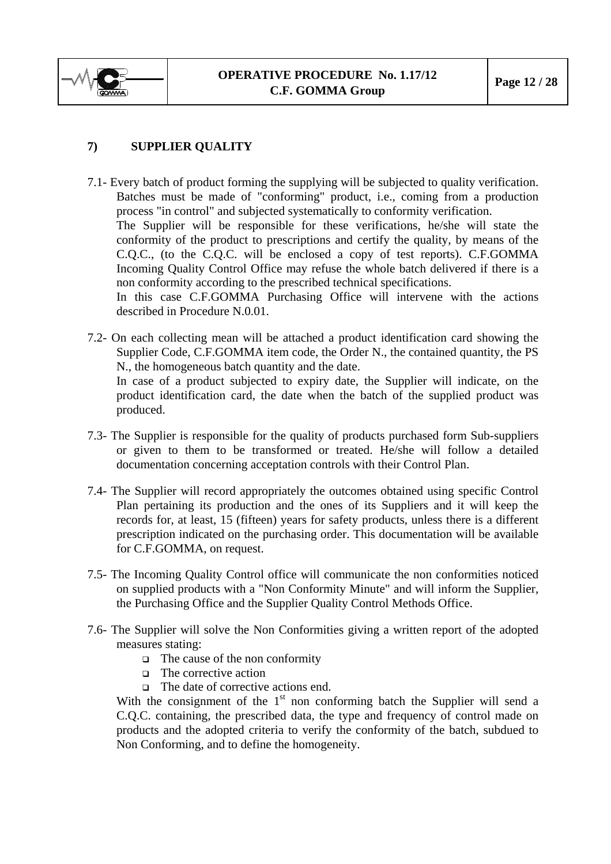<span id="page-11-0"></span>

## **7) SUPPLIER QUALITY**

7.1- Every batch of product forming the supplying will be subjected to quality verification. Batches must be made of "conforming" product, i.e., coming from a production process "in control" and subjected systematically to conformity verification. The Supplier will be responsible for these verifications, he/she will state the conformity of the product to prescriptions and certify the quality, by means of the C.Q.C., (to the C.Q.C. will be enclosed a copy of test reports). C.F.GOMMA Incoming Quality Control Office may refuse the whole batch delivered if there is a non conformity according to the prescribed technical specifications. In this case C.F.GOMMA Purchasing Office will intervene with the actions described in Procedure N.0.01.

7.2- On each collecting mean will be attached a product identification card showing the Supplier Code, C.F.GOMMA item code, the Order N., the contained quantity, the PS N., the homogeneous batch quantity and the date. In case of a product subjected to expiry date, the Supplier will indicate, on the product identification card, the date when the batch of the supplied product was produced.

- 7.3- The Supplier is responsible for the quality of products purchased form Sub-suppliers or given to them to be transformed or treated. He/she will follow a detailed documentation concerning acceptation controls with their Control Plan.
- 7.4- The Supplier will record appropriately the outcomes obtained using specific Control Plan pertaining its production and the ones of its Suppliers and it will keep the records for, at least, 15 (fifteen) years for safety products, unless there is a different prescription indicated on the purchasing order. This documentation will be available for C.F.GOMMA, on request.
- 7.5- The Incoming Quality Control office will communicate the non conformities noticed on supplied products with a "Non Conformity Minute" and will inform the Supplier, the Purchasing Office and the Supplier Quality Control Methods Office.
- 7.6- The Supplier will solve the Non Conformities giving a written report of the adopted measures stating:
	- $\Box$  The cause of the non conformity
	- $\Box$  The corrective action
	- The date of corrective actions end.

With the consignment of the  $1<sup>st</sup>$  non conforming batch the Supplier will send a C.Q.C. containing, the prescribed data, the type and frequency of control made on products and the adopted criteria to verify the conformity of the batch, subdued to Non Conforming, and to define the homogeneity.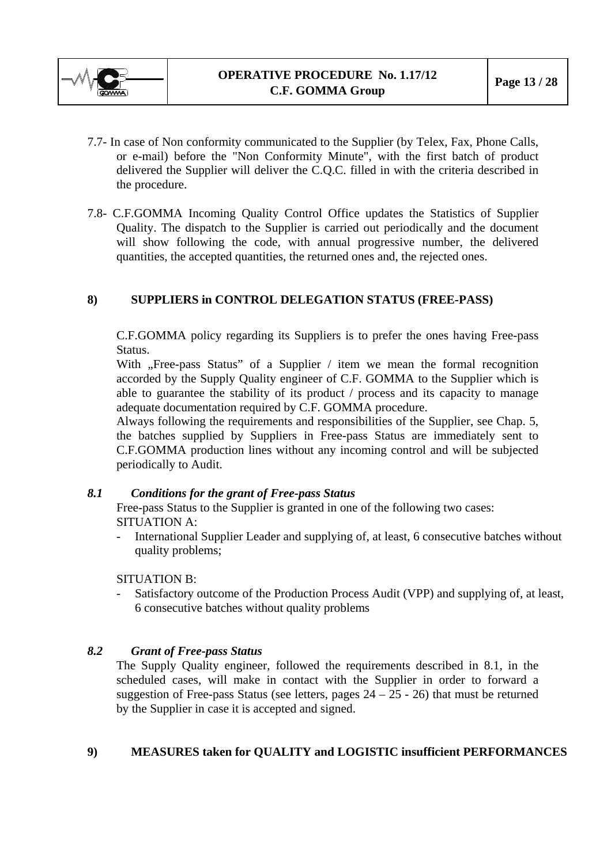<span id="page-12-0"></span>

- 7.7- In case of Non conformity communicated to the Supplier (by Telex, Fax, Phone Calls, or e-mail) before the "Non Conformity Minute", with the first batch of product delivered the Supplier will deliver the C.Q.C. filled in with the criteria described in the procedure.
- 7.8- C.F.GOMMA Incoming Quality Control Office updates the Statistics of Supplier Quality. The dispatch to the Supplier is carried out periodically and the document will show following the code, with annual progressive number, the delivered quantities, the accepted quantities, the returned ones and, the rejected ones.

## **8) SUPPLIERS in CONTROL DELEGATION STATUS (FREE-PASS)**

C.F.GOMMA policy regarding its Suppliers is to prefer the ones having Free-pass Status.

With "Free-pass Status" of a Supplier / item we mean the formal recognition accorded by the Supply Quality engineer of C.F. GOMMA to the Supplier which is able to guarantee the stability of its product / process and its capacity to manage adequate documentation required by C.F. GOMMA procedure.

Always following the requirements and responsibilities of the Supplier, see Chap. 5, the batches supplied by Suppliers in Free-pass Status are immediately sent to C.F.GOMMA production lines without any incoming control and will be subjected periodically to Audit.

## *8.1 Conditions for the grant of Free-pass Status*

Free-pass Status to the Supplier is granted in one of the following two cases: SITUATION A:

International Supplier Leader and supplying of, at least, 6 consecutive batches without quality problems;

SITUATION B:

Satisfactory outcome of the Production Process Audit (VPP) and supplying of, at least, 6 consecutive batches without quality problems

## *8.2 Grant of Free-pass Status*

The Supply Quality engineer, followed the requirements described in 8.1, in the scheduled cases, will make in contact with the Supplier in order to forward a suggestion of Free-pass Status (see letters, pages  $24 - 25 - 26$ ) that must be returned by the Supplier in case it is accepted and signed.

## **9) MEASURES taken for QUALITY and LOGISTIC insufficient PERFORMANCES**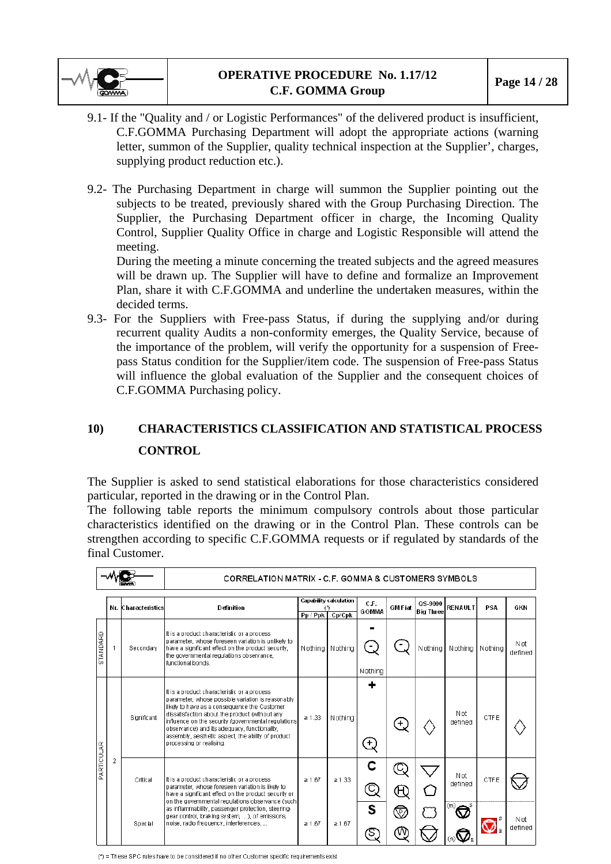<span id="page-13-0"></span>

- 9.1- If the "Quality and / or Logistic Performances" of the delivered product is insufficient, C.F.GOMMA Purchasing Department will adopt the appropriate actions (warning letter, summon of the Supplier, quality technical inspection at the Supplier', charges, supplying product reduction etc.).
- 9.2- The Purchasing Department in charge will summon the Supplier pointing out the subjects to be treated, previously shared with the Group Purchasing Direction. The Supplier, the Purchasing Department officer in charge, the Incoming Quality Control, Supplier Quality Office in charge and Logistic Responsible will attend the meeting.

During the meeting a minute concerning the treated subjects and the agreed measures will be drawn up. The Supplier will have to define and formalize an Improvement Plan, share it with C.F.GOMMA and underline the undertaken measures, within the decided terms.

9.3- For the Suppliers with Free-pass Status, if during the supplying and/or during recurrent quality Audits a non-conformity emerges, the Quality Service, because of the importance of the problem, will verify the opportunity for a suspension of Freepass Status condition for the Supplier/item code. The suspension of Free-pass Status will influence the global evaluation of the Supplier and the consequent choices of C.F.GOMMA Purchasing policy.

# **10) CHARACTERISTICS CLASSIFICATION AND STATISTICAL PROCESS CONTROL**

The Supplier is asked to send statistical elaborations for those characteristics considered particular, reported in the drawing or in the Control Plan.

The following table reports the minimum compulsory controls about those particular characteristics identified on the drawing or in the Control Plan. These controls can be strengthen according to specific C.F.GOMMA requests or if regulated by standards of the final Customer.

|            |                |                     | CORRELATION MATRIX - C.F. GOMMA & CUSTOMERS SYMBOLS                                                                                                                                                                                                                                                                                                                                         |             |                                         |                      |                |                             |                       |             |                 |
|------------|----------------|---------------------|---------------------------------------------------------------------------------------------------------------------------------------------------------------------------------------------------------------------------------------------------------------------------------------------------------------------------------------------------------------------------------------------|-------------|-----------------------------------------|----------------------|----------------|-----------------------------|-----------------------|-------------|-----------------|
|            |                | Nr. Characteristics | Definition                                                                                                                                                                                                                                                                                                                                                                                  | Pp / Ppk    | <b>Capability calculation</b><br>Cp/Cpk | C.F.<br><b>GOMMA</b> | <b>GMF</b> iat | QS-9000<br><b>Big Three</b> | <b>RENAULT</b>        | <b>PSA</b>  | GKN             |
| STANDARD   |                | Secondary           | It is a product characteristic or a process<br>parameter, whose foreseen variation is unlikely to<br>have a significant effect on the product security.<br>the governmental regulations observance,<br>functional bonds.                                                                                                                                                                    | Nothing     | Nothing                                 | Nothing              |                | N othing                    | Nothing               | Nothing     | N ot<br>defined |
| PARTICULAR |                | Significant         | It is a product characteristic or a process<br>parameter, whose possible variation is reasonably<br>likely to have as a consequence the Customer<br>dissatisfaction about the product (without any<br>influence on the security /governmental requlations<br>observance) and its adequacy, functionality,<br>assembly, aesthetic aspect, the ability of product<br>processing or realising. | $\geq 1.33$ | Nothing                                 | ÷<br>٠               |                |                             | Not<br>defined        | <b>CTFE</b> |                 |
|            | $\overline{2}$ | Critical            | It is a product characteristic or a process<br>barameter, whose foreseen variation is likely to<br>have a significant effect on the product security or<br>on the governmental regulations observance (such)                                                                                                                                                                                | $\geq 1.67$ | $\ge 1.33$                              |                      |                |                             | <b>Not</b><br>defined | <b>CTFE</b> |                 |
|            |                | Special             | as inflammability, passenger protection, steering-<br>gear control, braking system, ), of emissions,<br>noise, radio frequency, interferences,                                                                                                                                                                                                                                              | $\geq 1.67$ | $\ge 1.67$                              | S                    | ۱Ū,            |                             | (m)<br>m              |             | N ot<br>defined |

(\*) = These SPC rules have to be considered if no other Customer specific requirements exist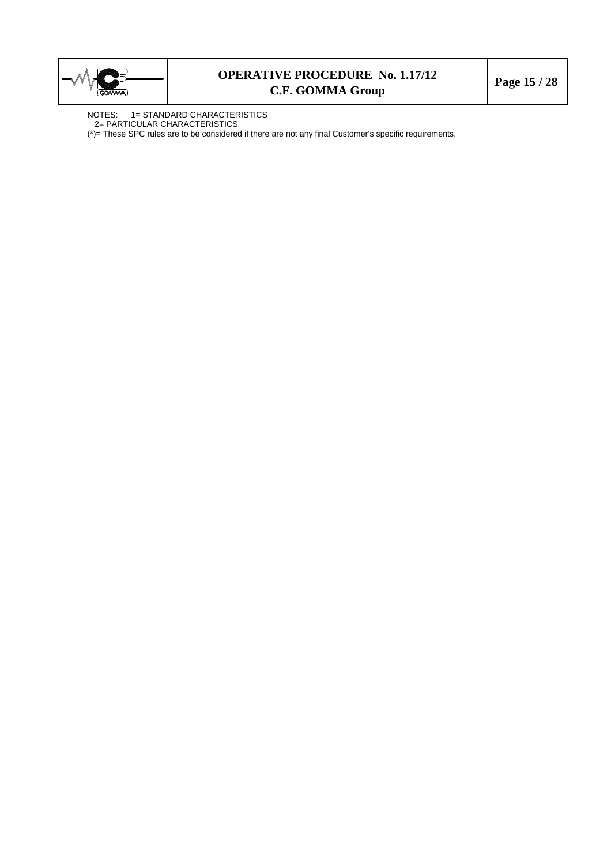

## **OPERATIVE PROCEDURE No. 1.17/12 C.F. GOMMA Group Page 15 / 28**

NOTES: 1= STANDARD CHARACTERISTICS 2= PARTICULAR CHARACTERISTICS

(\*)= These SPC rules are to be considered if there are not any final Customer's specific requirements.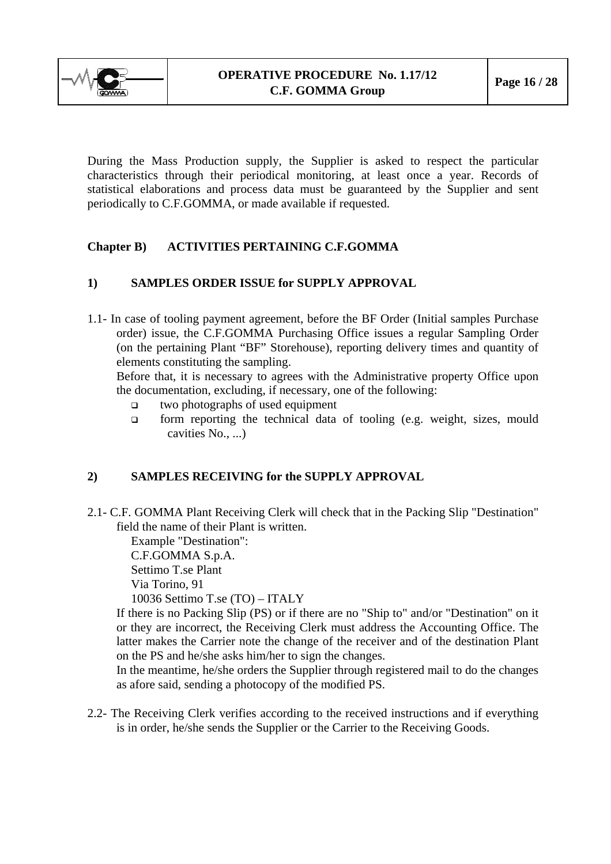<span id="page-15-0"></span>

During the Mass Production supply, the Supplier is asked to respect the particular characteristics through their periodical monitoring, at least once a year. Records of statistical elaborations and process data must be guaranteed by the Supplier and sent periodically to C.F.GOMMA, or made available if requested.

## **Chapter B) ACTIVITIES PERTAINING C.F.GOMMA**

## **1) SAMPLES ORDER ISSUE for SUPPLY APPROVAL**

1.1- In case of tooling payment agreement, before the BF Order (Initial samples Purchase order) issue, the C.F.GOMMA Purchasing Office issues a regular Sampling Order (on the pertaining Plant "BF" Storehouse), reporting delivery times and quantity of elements constituting the sampling.

Before that, it is necessary to agrees with the Administrative property Office upon the documentation, excluding, if necessary, one of the following:

- $\Box$  two photographs of used equipment
- $\Box$  form reporting the technical data of tooling (e.g. weight, sizes, mould cavities No., ...

## **2) SAMPLES RECEIVING for the SUPPLY APPROVAL**

2.1- C.F. GOMMA Plant Receiving Clerk will check that in the Packing Slip "Destination" field the name of their Plant is written.

Example "Destination":

C.F.GOMMA S.p.A.

Settimo T.se Plant

Via Torino, 91

10036 Settimo T.se (TO) – ITALY

If there is no Packing Slip (PS) or if there are no "Ship to" and/or "Destination" on it or they are incorrect, the Receiving Clerk must address the Accounting Office. The latter makes the Carrier note the change of the receiver and of the destination Plant on the PS and he/she asks him/her to sign the changes.

In the meantime, he/she orders the Supplier through registered mail to do the changes as afore said, sending a photocopy of the modified PS.

2.2- The Receiving Clerk verifies according to the received instructions and if everything is in order, he/she sends the Supplier or the Carrier to the Receiving Goods.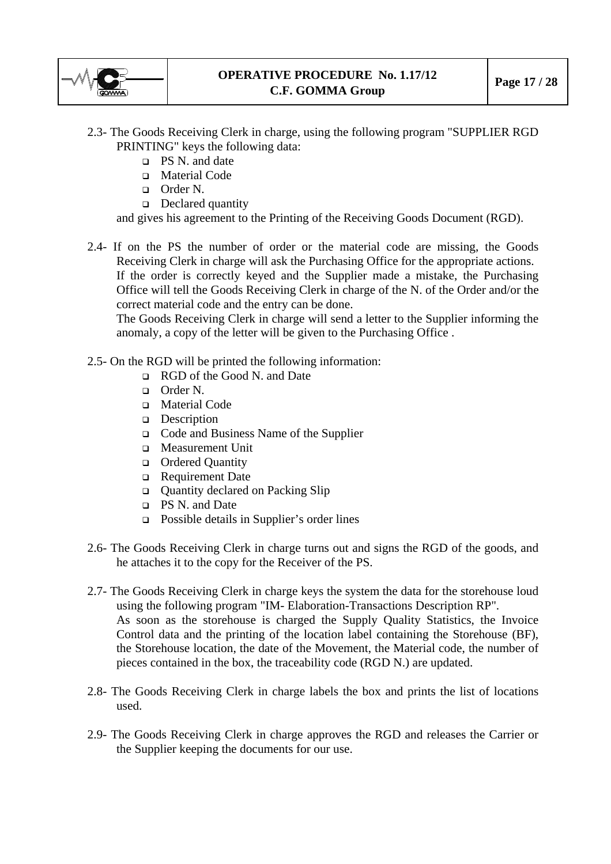

- 2.3- The Goods Receiving Clerk in charge, using the following program "SUPPLIER RGD PRINTING" keys the following data:
	- $\Box$  PS N. and date
	- □ Material Code
	- Order N.
	- Declared quantity

and gives his agreement to the Printing of the Receiving Goods Document (RGD).

2.4- If on the PS the number of order or the material code are missing, the Goods Receiving Clerk in charge will ask the Purchasing Office for the appropriate actions. If the order is correctly keyed and the Supplier made a mistake, the Purchasing Office will tell the Goods Receiving Clerk in charge of the N. of the Order and/or the correct material code and the entry can be done.

The Goods Receiving Clerk in charge will send a letter to the Supplier informing the anomaly, a copy of the letter will be given to the Purchasing Office .

- 2.5- On the RGD will be printed the following information:
	- RGD of the Good N. and Date
	- Order N.
	- □ Material Code
	- Description
	- Code and Business Name of the Supplier
	- **D** Measurement Unit
	- □ Ordered Quantity
	- Requirement Date
	- Quantity declared on Packing Slip
	- PS N. and Date
	- Possible details in Supplier's order lines
- 2.6- The Goods Receiving Clerk in charge turns out and signs the RGD of the goods, and he attaches it to the copy for the Receiver of the PS.
- 2.7- The Goods Receiving Clerk in charge keys the system the data for the storehouse loud using the following program "IM- Elaboration-Transactions Description RP". As soon as the storehouse is charged the Supply Quality Statistics, the Invoice Control data and the printing of the location label containing the Storehouse (BF), the Storehouse location, the date of the Movement, the Material code, the number of pieces contained in the box, the traceability code (RGD N.) are updated.
- 2.8- The Goods Receiving Clerk in charge labels the box and prints the list of locations used.
- 2.9- The Goods Receiving Clerk in charge approves the RGD and releases the Carrier or the Supplier keeping the documents for our use.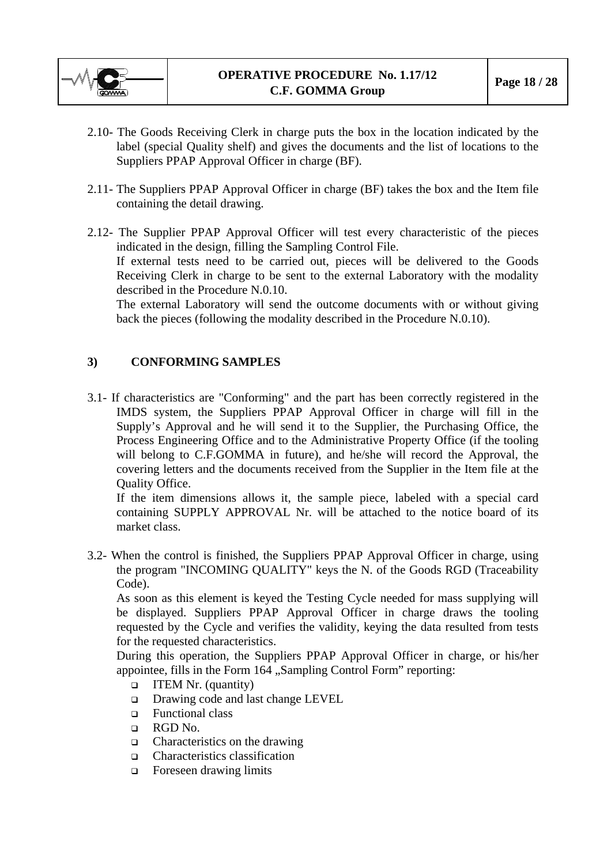<span id="page-17-0"></span>

- 2.10- The Goods Receiving Clerk in charge puts the box in the location indicated by the label (special Quality shelf) and gives the documents and the list of locations to the Suppliers PPAP Approval Officer in charge (BF).
- 2.11- The Suppliers PPAP Approval Officer in charge (BF) takes the box and the Item file containing the detail drawing.
- 2.12- The Supplier PPAP Approval Officer will test every characteristic of the pieces indicated in the design, filling the Sampling Control File. If external tests need to be carried out, pieces will be delivered to the Goods Receiving Clerk in charge to be sent to the external Laboratory with the modality described in the Procedure N.0.10.

The external Laboratory will send the outcome documents with or without giving back the pieces (following the modality described in the Procedure N.0.10).

## **3) CONFORMING SAMPLES**

3.1- If characteristics are "Conforming" and the part has been correctly registered in the IMDS system, the Suppliers PPAP Approval Officer in charge will fill in the Supply's Approval and he will send it to the Supplier, the Purchasing Office, the Process Engineering Office and to the Administrative Property Office (if the tooling will belong to C.F.GOMMA in future), and he/she will record the Approval, the covering letters and the documents received from the Supplier in the Item file at the Quality Office.

If the item dimensions allows it, the sample piece, labeled with a special card containing SUPPLY APPROVAL Nr. will be attached to the notice board of its market class.

3.2- When the control is finished, the Suppliers PPAP Approval Officer in charge, using the program "INCOMING QUALITY" keys the N. of the Goods RGD (Traceability Code).

As soon as this element is keyed the Testing Cycle needed for mass supplying will be displayed. Suppliers PPAP Approval Officer in charge draws the tooling requested by the Cycle and verifies the validity, keying the data resulted from tests for the requested characteristics.

During this operation, the Suppliers PPAP Approval Officer in charge, or his/her appointee, fills in the Form  $164$  , Sampling Control Form" reporting:

- □ ITEM Nr. (quantity)
- □ Drawing code and last change LEVEL
- Functional class
- RGD No.
- $\Box$  Characteristics on the drawing
- □ Characteristics classification
- **Example 1** Foreseen drawing limits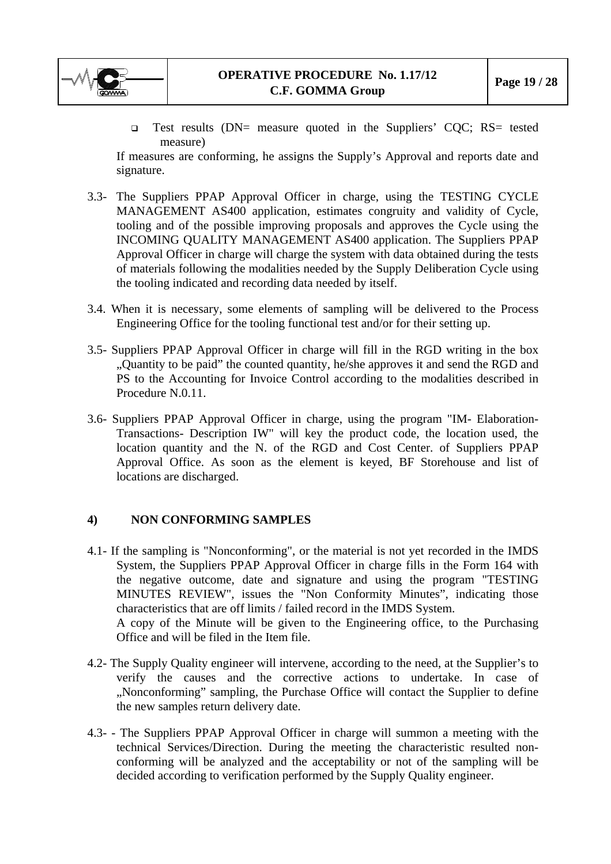<span id="page-18-0"></span>

 Test results (DN= measure quoted in the Suppliers' CQC; RS= tested measure)

If measures are conforming, he assigns the Supply's Approval and reports date and signature.

- 3.3- The Suppliers PPAP Approval Officer in charge, using the TESTING CYCLE MANAGEMENT AS400 application, estimates congruity and validity of Cycle, tooling and of the possible improving proposals and approves the Cycle using the INCOMING QUALITY MANAGEMENT AS400 application. The Suppliers PPAP Approval Officer in charge will charge the system with data obtained during the tests of materials following the modalities needed by the Supply Deliberation Cycle using the tooling indicated and recording data needed by itself.
- 3.4. When it is necessary, some elements of sampling will be delivered to the Process Engineering Office for the tooling functional test and/or for their setting up.
- 3.5- Suppliers PPAP Approval Officer in charge will fill in the RGD writing in the box "Quantity to be paid" the counted quantity, he/she approves it and send the RGD and PS to the Accounting for Invoice Control according to the modalities described in Procedure N.0.11.
- 3.6- Suppliers PPAP Approval Officer in charge, using the program "IM- Elaboration-Transactions- Description IW" will key the product code, the location used, the location quantity and the N. of the RGD and Cost Center. of Suppliers PPAP Approval Office. As soon as the element is keyed, BF Storehouse and list of locations are discharged.

## **4) NON CONFORMING SAMPLES**

- 4.1- If the sampling is "Nonconforming", or the material is not yet recorded in the IMDS System, the Suppliers PPAP Approval Officer in charge fills in the Form 164 with the negative outcome, date and signature and using the program "TESTING MINUTES REVIEW", issues the "Non Conformity Minutes", indicating those characteristics that are off limits / failed record in the IMDS System. A copy of the Minute will be given to the Engineering office, to the Purchasing Office and will be filed in the Item file.
- 4.2- The Supply Quality engineer will intervene, according to the need, at the Supplier's to verify the causes and the corrective actions to undertake. In case of "Nonconforming" sampling, the Purchase Office will contact the Supplier to define the new samples return delivery date.
- 4.3- The Suppliers PPAP Approval Officer in charge will summon a meeting with the technical Services/Direction. During the meeting the characteristic resulted nonconforming will be analyzed and the acceptability or not of the sampling will be decided according to verification performed by the Supply Quality engineer.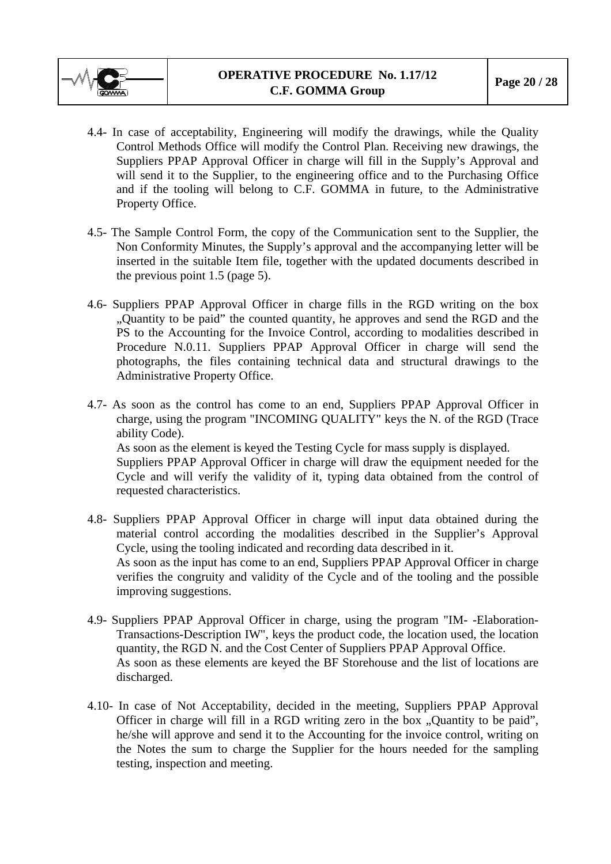

- 4.4- In case of acceptability, Engineering will modify the drawings, while the Quality Control Methods Office will modify the Control Plan. Receiving new drawings, the Suppliers PPAP Approval Officer in charge will fill in the Supply's Approval and will send it to the Supplier, to the engineering office and to the Purchasing Office and if the tooling will belong to C.F. GOMMA in future, to the Administrative Property Office.
- 4.5- The Sample Control Form, the copy of the Communication sent to the Supplier, the Non Conformity Minutes, the Supply's approval and the accompanying letter will be inserted in the suitable Item file, together with the updated documents described in the previous point 1.5 (page 5).
- 4.6- Suppliers PPAP Approval Officer in charge fills in the RGD writing on the box "Quantity to be paid" the counted quantity, he approves and send the RGD and the PS to the Accounting for the Invoice Control, according to modalities described in Procedure N.0.11. Suppliers PPAP Approval Officer in charge will send the photographs, the files containing technical data and structural drawings to the Administrative Property Office.
- 4.7- As soon as the control has come to an end, Suppliers PPAP Approval Officer in charge, using the program "INCOMING QUALITY" keys the N. of the RGD (Trace ability Code). As soon as the element is keyed the Testing Cycle for mass supply is displayed. Suppliers PPAP Approval Officer in charge will draw the equipment needed for the Cycle and will verify the validity of it, typing data obtained from the control of requested characteristics.
- 4.8- Suppliers PPAP Approval Officer in charge will input data obtained during the material control according the modalities described in the Supplier's Approval Cycle, using the tooling indicated and recording data described in it. As soon as the input has come to an end, Suppliers PPAP Approval Officer in charge verifies the congruity and validity of the Cycle and of the tooling and the possible improving suggestions.
- 4.9- Suppliers PPAP Approval Officer in charge, using the program "IM- -Elaboration-Transactions-Description IW", keys the product code, the location used, the location quantity, the RGD N. and the Cost Center of Suppliers PPAP Approval Office. As soon as these elements are keyed the BF Storehouse and the list of locations are discharged.
- 4.10- In case of Not Acceptability, decided in the meeting, Suppliers PPAP Approval Officer in charge will fill in a RGD writing zero in the box "Quantity to be paid", he/she will approve and send it to the Accounting for the invoice control, writing on the Notes the sum to charge the Supplier for the hours needed for the sampling testing, inspection and meeting.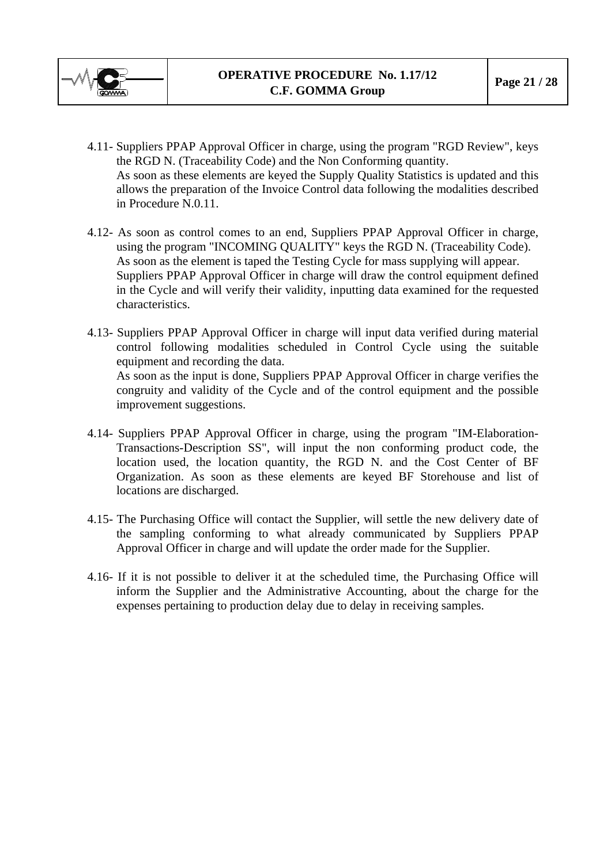

- 4.11- Suppliers PPAP Approval Officer in charge, using the program "RGD Review", keys the RGD N. (Traceability Code) and the Non Conforming quantity. As soon as these elements are keyed the Supply Quality Statistics is updated and this allows the preparation of the Invoice Control data following the modalities described in Procedure N.0.11.
- 4.12- As soon as control comes to an end, Suppliers PPAP Approval Officer in charge, using the program "INCOMING QUALITY" keys the RGD N. (Traceability Code). As soon as the element is taped the Testing Cycle for mass supplying will appear. Suppliers PPAP Approval Officer in charge will draw the control equipment defined in the Cycle and will verify their validity, inputting data examined for the requested characteristics.
- 4.13- Suppliers PPAP Approval Officer in charge will input data verified during material control following modalities scheduled in Control Cycle using the suitable equipment and recording the data. As soon as the input is done, Suppliers PPAP Approval Officer in charge verifies the congruity and validity of the Cycle and of the control equipment and the possible improvement suggestions.
- 4.14- Suppliers PPAP Approval Officer in charge, using the program "IM-Elaboration-Transactions-Description SS", will input the non conforming product code, the location used, the location quantity, the RGD N. and the Cost Center of BF Organization. As soon as these elements are keyed BF Storehouse and list of locations are discharged.
- 4.15- The Purchasing Office will contact the Supplier, will settle the new delivery date of the sampling conforming to what already communicated by Suppliers PPAP Approval Officer in charge and will update the order made for the Supplier.
- 4.16- If it is not possible to deliver it at the scheduled time, the Purchasing Office will inform the Supplier and the Administrative Accounting, about the charge for the expenses pertaining to production delay due to delay in receiving samples.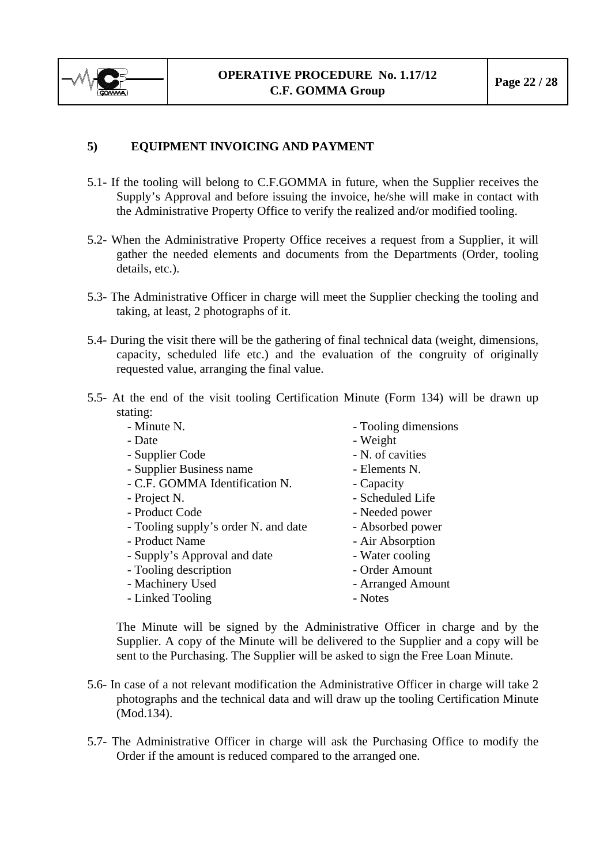<span id="page-21-0"></span>

## **5) EQUIPMENT INVOICING AND PAYMENT**

- 5.1- If the tooling will belong to C.F.GOMMA in future, when the Supplier receives the Supply's Approval and before issuing the invoice, he/she will make in contact with the Administrative Property Office to verify the realized and/or modified tooling.
- 5.2- When the Administrative Property Office receives a request from a Supplier, it will gather the needed elements and documents from the Departments (Order, tooling details, etc.).
- 5.3- The Administrative Officer in charge will meet the Supplier checking the tooling and taking, at least, 2 photographs of it.
- 5.4- During the visit there will be the gathering of final technical data (weight, dimensions, capacity, scheduled life etc.) and the evaluation of the congruity of originally requested value, arranging the final value.
- 5.5- At the end of the visit tooling Certification Minute (Form 134) will be drawn up stating:

| - Minute N.                          | - Tooling dimensions |
|--------------------------------------|----------------------|
| - Date                               | - Weight             |
| - Supplier Code                      | - N. of cavities     |
| - Supplier Business name             | - Elements N.        |
| - C.F. GOMMA Identification N.       | - Capacity           |
| - Project N.                         | - Scheduled Life     |
| - Product Code                       | - Needed power       |
| - Tooling supply's order N. and date | - Absorbed power     |
| - Product Name                       | - Air Absorption     |
| - Supply's Approval and date         | - Water cooling      |
| - Tooling description                | - Order Amount       |
| - Machinery Used                     | - Arranged Amount    |
| - Linked Tooling                     | - Notes              |
|                                      |                      |

The Minute will be signed by the Administrative Officer in charge and by the Supplier. A copy of the Minute will be delivered to the Supplier and a copy will be sent to the Purchasing. The Supplier will be asked to sign the Free Loan Minute.

- 5.6- In case of a not relevant modification the Administrative Officer in charge will take 2 photographs and the technical data and will draw up the tooling Certification Minute (Mod.134).
- 5.7- The Administrative Officer in charge will ask the Purchasing Office to modify the Order if the amount is reduced compared to the arranged one.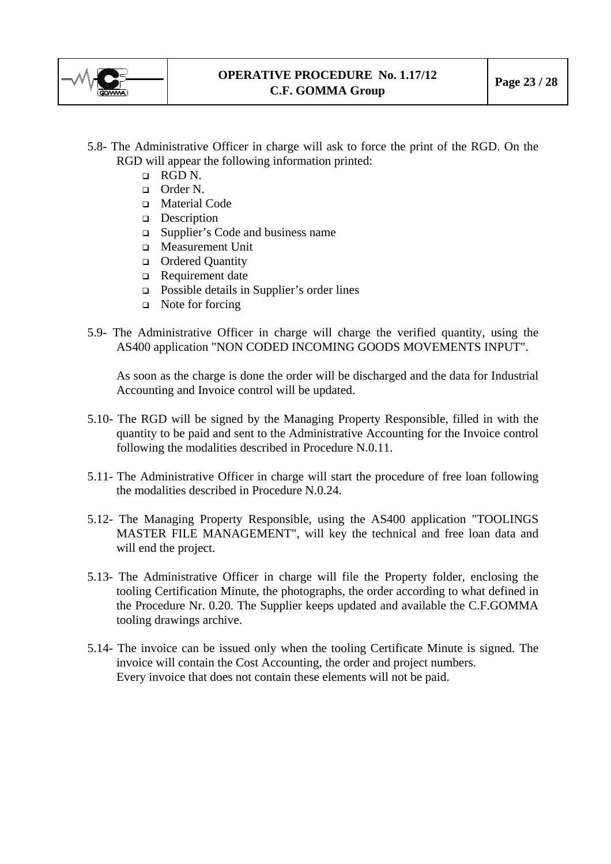

- 5.8- The Administrative Officer in charge will ask to force the print of the RGD. On the RGD will appear the following information printed:
	- RGD N.
	- Order N.
	- Material Code
	- Description
	- Supplier's Code and business name
	- Measurement Unit
	- **Quantity Quantity**
	- Requirement date
	- Possible details in Supplier's order lines
	- $\Box$  Note for forcing
- 5.9- The Administrative Officer in charge will charge the verified quantity, using the AS400 application "NON CODED INCOMING GOODS MOVEMENTS INPUT".

As soon as the charge is done the order will be discharged and the data for Industrial Accounting and Invoice control will be updated.

- 5.10- The RGD will be signed by the Managing Property Responsible, filled in with the quantity to be paid and sent to the Administrative Accounting for the Invoice control following the modalities described in Procedure N.0.11.
- 5.11- The Administrative Officer in charge will start the procedure of free loan following the modalities described in Procedure N.0.24.
- 5.12- The Managing Property Responsible, using the AS400 application "TOOLINGS MASTER FILE MANAGEMENT", will key the technical and free loan data and will end the project.
- 5.13- The Administrative Officer in charge will file the Property folder, enclosing the tooling Certification Minute, the photographs, the order according to what defined in the Procedure Nr. 0.20. The Supplier keeps updated and available the C.F.GOMMA tooling drawings archive.
- 5.14- The invoice can be issued only when the tooling Certificate Minute is signed. The invoice will contain the Cost Accounting, the order and project numbers. Every invoice that does not contain these elements will not be paid.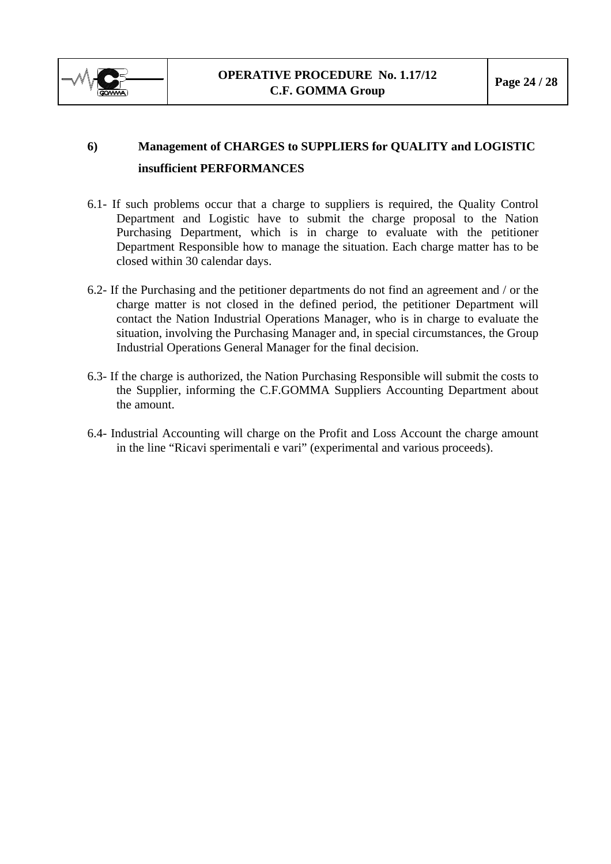<span id="page-23-0"></span>

# **6) Management of CHARGES to SUPPLIERS for QUALITY and LOGISTIC insufficient PERFORMANCES**

- 6.1- If such problems occur that a charge to suppliers is required, the Quality Control Department and Logistic have to submit the charge proposal to the Nation Purchasing Department, which is in charge to evaluate with the petitioner Department Responsible how to manage the situation. Each charge matter has to be closed within 30 calendar days.
- 6.2- If the Purchasing and the petitioner departments do not find an agreement and / or the charge matter is not closed in the defined period, the petitioner Department will contact the Nation Industrial Operations Manager, who is in charge to evaluate the situation, involving the Purchasing Manager and, in special circumstances, the Group Industrial Operations General Manager for the final decision.
- 6.3- If the charge is authorized, the Nation Purchasing Responsible will submit the costs to the Supplier, informing the C.F.GOMMA Suppliers Accounting Department about the amount.
- 6.4- Industrial Accounting will charge on the Profit and Loss Account the charge amount in the line "Ricavi sperimentali e vari" (experimental and various proceeds).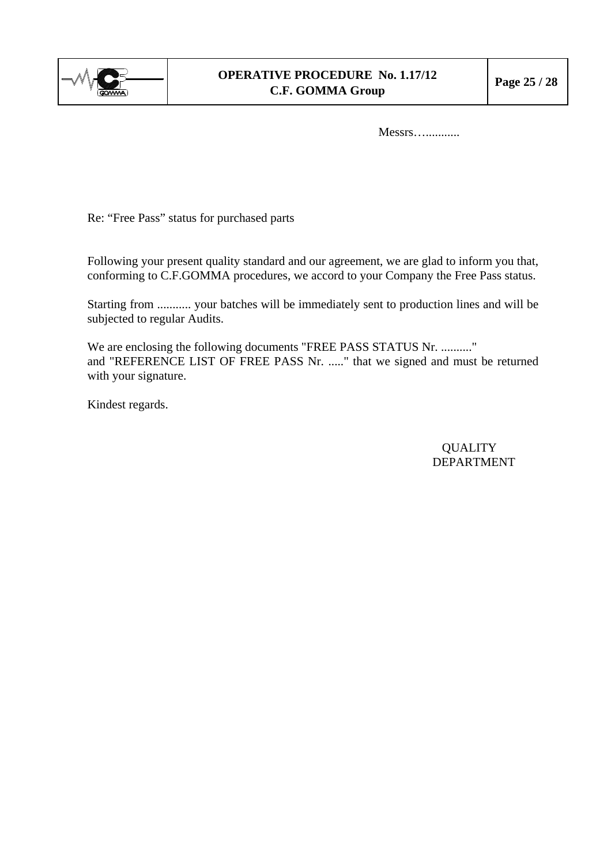

Messrs…...........

Re: "Free Pass" status for purchased parts

Following your present quality standard and our agreement, we are glad to inform you that, conforming to C.F.GOMMA procedures, we accord to your Company the Free Pass status.

Starting from ........... your batches will be immediately sent to production lines and will be subjected to regular Audits.

We are enclosing the following documents "FREE PASS STATUS Nr. ..........." and "REFERENCE LIST OF FREE PASS Nr. ....." that we signed and must be returned with your signature.

Kindest regards.

**QUALITY** DEPARTMENT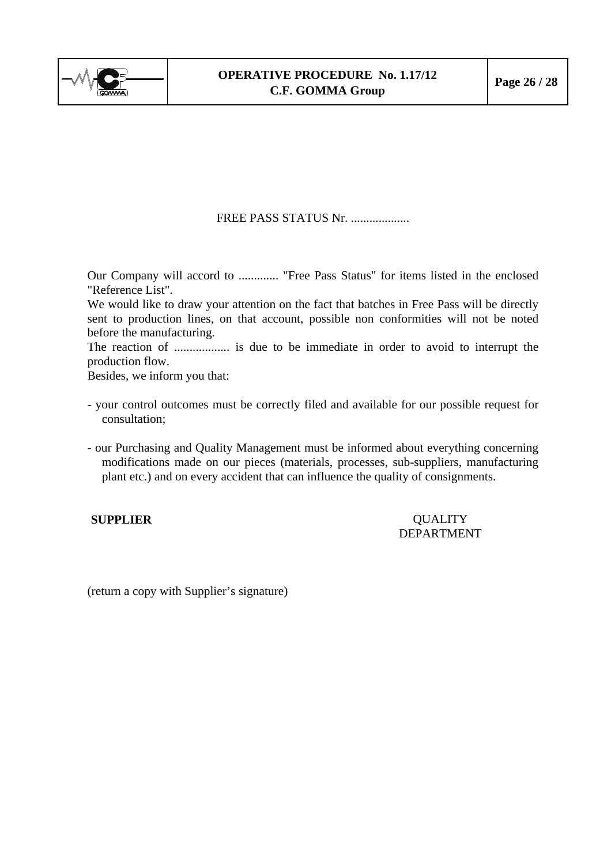

## FREE PASS STATUS Nr. ....................

Our Company will accord to ............. "Free Pass Status" for items listed in the enclosed "Reference List".

We would like to draw your attention on the fact that batches in Free Pass will be directly sent to production lines, on that account, possible non conformities will not be noted before the manufacturing.

The reaction of .................. is due to be immediate in order to avoid to interrupt the production flow.

Besides, we inform you that:

- your control outcomes must be correctly filed and available for our possible request for consultation;
- our Purchasing and Quality Management must be informed about everything concerning modifications made on our pieces (materials, processes, sub-suppliers, manufacturing plant etc.) and on every accident that can influence the quality of consignments.

**SUPPLIER COUALITY** DEPARTMENT

(return a copy with Supplier's signature)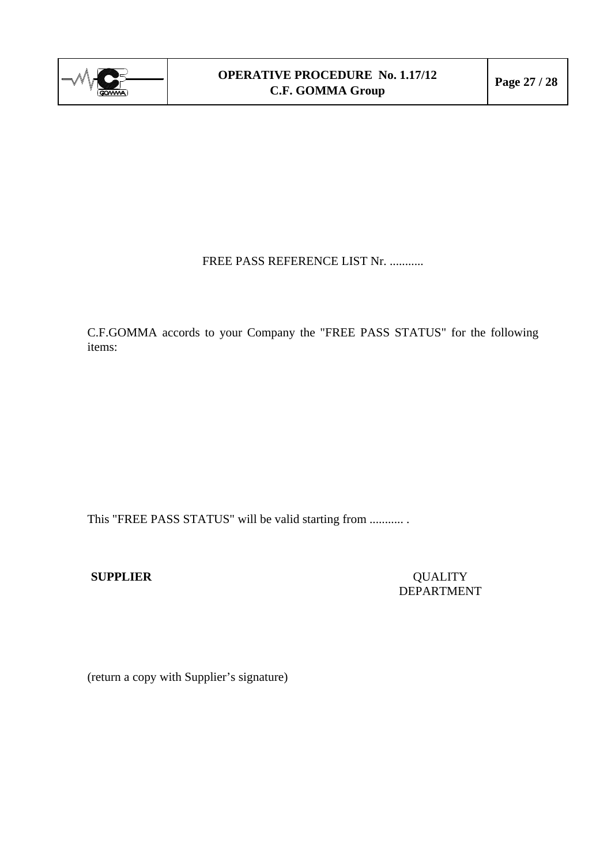

FREE PASS REFERENCE LIST Nr. ...........

C.F.GOMMA accords to your Company the "FREE PASS STATUS" for the following items:

This "FREE PASS STATUS" will be valid starting from ........... .

**SUPPLIER** QUALITY DEPARTMENT

(return a copy with Supplier's signature)